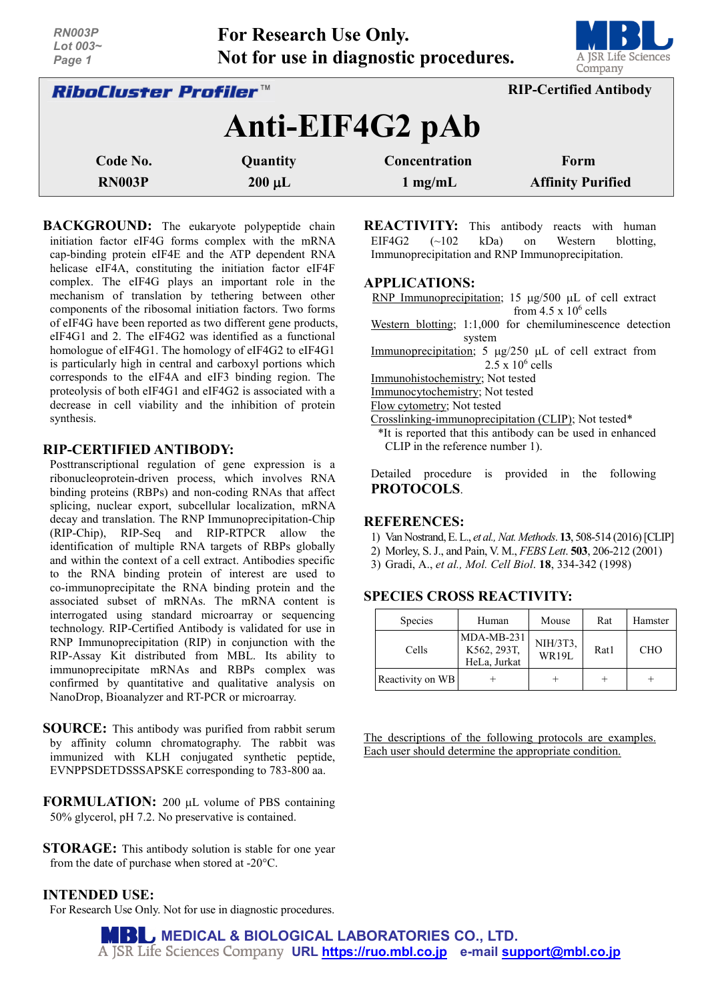| <b>RN003P</b><br>Lot 003~<br>Page 1 | <b>For Research Use Only.</b><br>Not for use in diagnostic procedures. | A JSR Life Sciences<br>Company |                               |
|-------------------------------------|------------------------------------------------------------------------|--------------------------------|-------------------------------|
| <i>RiboCluster Profiler™</i>        |                                                                        |                                | <b>RIP-Certified Antibody</b> |
|                                     |                                                                        | Anti-EIF4G2 pAb                |                               |
| Code No.                            | Quantity                                                               | Concentration                  | Form                          |
| <b>RN003P</b>                       | $200 \mu L$                                                            | $1$ mg/mL                      | <b>Affinity Purified</b>      |

**BACKGROUND:** The eukaryote polypeptide chain initiation factor eIF4G forms complex with the mRNA cap-binding protein eIF4E and the ATP dependent RNA helicase eIF4A, constituting the initiation factor eIF4F complex. The eIF4G plays an important role in the mechanism of translation by tethering between other components of the ribosomal initiation factors. Two forms of eIF4G have been reported as two different gene products, eIF4G1 and 2. The eIF4G2 was identified as a functional homologue of eIF4G1. The homology of eIF4G2 to eIF4G1 is particularly high in central and carboxyl portions which corresponds to the eIF4A and eIF3 binding region. The proteolysis of both eIF4G1 and eIF4G2 is associated with a decrease in cell viability and the inhibition of protein synthesis.

# **RIP-CERTIFIED ANTIBODY:**

Posttranscriptional regulation of gene expression is a ribonucleoprotein-driven process, which involves RNA binding proteins (RBPs) and non-coding RNAs that affect splicing, nuclear export, subcellular localization, mRNA decay and translation. The RNP Immunoprecipitation-Chip (RIP-Chip), RIP-Seq and RIP-RTPCR allow the identification of multiple RNA targets of RBPs globally and within the context of a cell extract. Antibodies specific to the RNA binding protein of interest are used to co-immunoprecipitate the RNA binding protein and the associated subset of mRNAs. The mRNA content is interrogated using standard microarray or sequencing technology. RIP-Certified Antibody is validated for use in RNP Immunoprecipitation (RIP) in conjunction with the RIP-Assay Kit distributed from MBL. Its ability to immunoprecipitate mRNAs and RBPs complex was confirmed by quantitative and qualitative analysis on NanoDrop, Bioanalyzer and RT-PCR or microarray.

**SOURCE:** This antibody was purified from rabbit serum by affinity column chromatography. The rabbit was immunized with KLH conjugated synthetic peptide, EVNPPSDETDSSSAPSKE corresponding to 783-800 aa.

**FORMULATION:** 200 µL volume of PBS containing 50% glycerol, pH 7.2. No preservative is contained.

**STORAGE:** This antibody solution is stable for one year from the date of purchase when stored at -20°C.

# **INTENDED USE:**

For Research Use Only. Not for use in diagnostic procedures.

**REACTIVITY:** This antibody reacts with human<br>EIF4G2 (~102 kDa) on Western blotting,  $(-102 \text{ kDa})$  on Western blotting, Immunoprecipitation and RNP Immunoprecipitation.

## **APPLICATIONS:**

RNP Immunoprecipitation; 15 µg/500 µL of cell extract from  $4.5 \times 10^6$  cells

Western blotting; 1:1,000 for chemiluminescence detection system

Immunoprecipitation;  $5 \mu g/250 \mu L$  of cell extract from  $2.5 \times 10^6$  cells

Immunohistochemistry; Not tested

Immunocytochemistry; Not tested

Flow cytometry; Not tested

Crosslinking-immunoprecipitation (CLIP); Not tested\* \*It is reported that this antibody can be used in enhanced CLIP in the reference number 1).

Detailed procedure is provided in the following **PROTOCOLS**.

## **REFERENCES:**

- 1) Van Nostrand,E. L., *et al., Nat. Methods*. **13**, 508-514 (2016)[CLIP]
- 2) Morley, S. J., and Pain, V. M., *FEBS Lett*. **503**, 206-212 (2001)
- 3) Gradi, A., *et al., Mol. Cell Biol*. **18**, 334-342 (1998)

# **SPECIES CROSS REACTIVITY:**

| <b>Species</b>   | Human                                       | Mouse             | Rat  | Hamster    |
|------------------|---------------------------------------------|-------------------|------|------------|
| Cells            | $MDA-MB-231$<br>K562, 293T,<br>HeLa, Jurkat | NIH/3T3,<br>WR19L | Rat1 | <b>CHO</b> |
| Reactivity on WB |                                             |                   |      |            |

The descriptions of the following protocols are examples. Each user should determine the appropriate condition.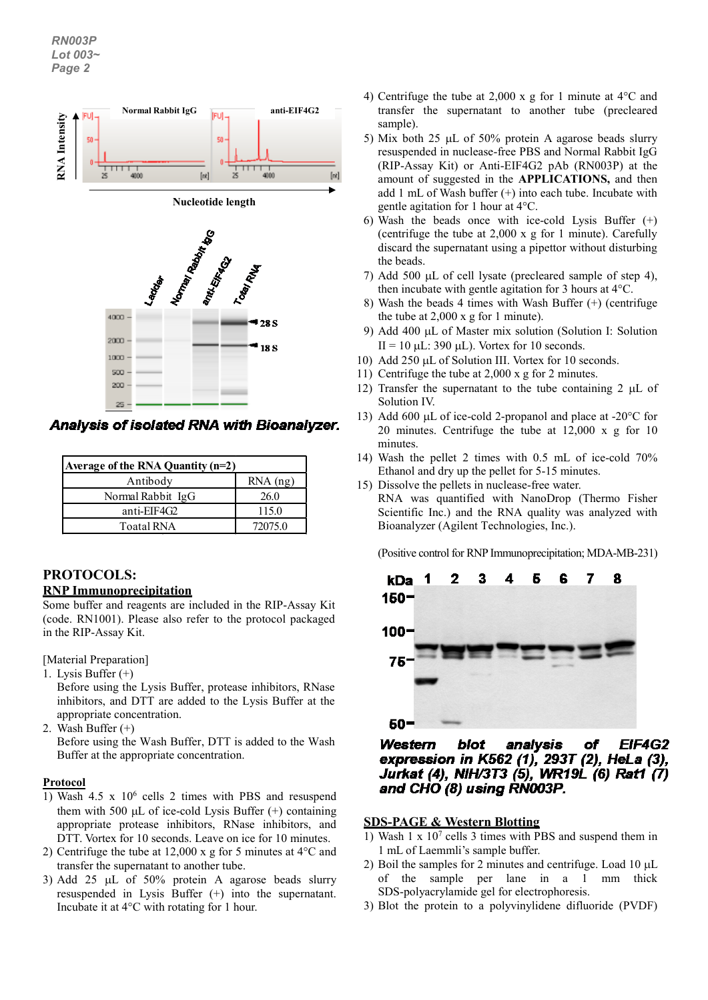

| Average of the RNA Quantity $(n=2)$ |            |  |  |  |
|-------------------------------------|------------|--|--|--|
| Antibody                            | $RNA$ (ng) |  |  |  |
| Normal Rabbit IgG                   | 26.0       |  |  |  |
| anti-EIF4G2                         | 115.0      |  |  |  |
| <b>Toatal RNA</b>                   | 72075.0    |  |  |  |

# **PROTOCOLS:**

# **RNP Immunoprecipitation**

Some buffer and reagents are included in the RIP-Assay Kit (code. RN1001). Please also refer to the protocol packaged in the RIP-Assay Kit.

[Material Preparation]

1. Lysis Buffer (+)

Before using the Lysis Buffer, protease inhibitors, RNase inhibitors, and DTT are added to the Lysis Buffer at the appropriate concentration.

2. Wash Buffer (+)

Before using the Wash Buffer, DTT is added to the Wash Buffer at the appropriate concentration.

# **Protocol**

- 1) Wash  $4.5 \times 10^6$  cells 2 times with PBS and resuspend them with 500  $\mu$ L of ice-cold Lysis Buffer  $(+)$  containing appropriate protease inhibitors, RNase inhibitors, and DTT. Vortex for 10 seconds. Leave on ice for 10 minutes.
- 2) Centrifuge the tube at 12,000 x g for 5 minutes at 4°C and transfer the supernatant to another tube.
- 3) Add 25 µL of 50% protein A agarose beads slurry resuspended in Lysis Buffer (+) into the supernatant. Incubate it at 4°C with rotating for 1 hour.
- 4) Centrifuge the tube at 2,000 x g for 1 minute at 4°C and transfer the supernatant to another tube (precleared sample).
- 5) Mix both 25 µL of 50% protein A agarose beads slurry resuspended in nuclease-free PBS and Normal Rabbit IgG (RIP-Assay Kit) or Anti-EIF4G2 pAb (RN003P) at the amount of suggested in the **APPLICATIONS,** and then add 1 mL of Wash buffer  $(+)$  into each tube. Incubate with gentle agitation for 1 hour at 4°C.
- 6) Wash the beads once with ice-cold Lysis Buffer (+) (centrifuge the tube at 2,000 x g for 1 minute). Carefully discard the supernatant using a pipettor without disturbing the beads.
- 7) Add 500 µL of cell lysate (precleared sample of step 4), then incubate with gentle agitation for 3 hours at 4°C.
- 8) Wash the beads 4 times with Wash Buffer (+) (centrifuge the tube at 2,000 x g for 1 minute).
- 9) Add 400 µL of Master mix solution (Solution I: Solution II = 10  $\mu$ L: 390  $\mu$ L). Vortex for 10 seconds.
- 10) Add 250 µL of Solution III. Vortex for 10 seconds.
- 11) Centrifuge the tube at 2,000 x g for 2 minutes.
- 12) Transfer the supernatant to the tube containing 2  $\mu$ L of Solution IV.
- 13) Add 600  $\mu$ L of ice-cold 2-propanol and place at -20 $\degree$ C for 20 minutes. Centrifuge the tube at 12,000 x g for 10 minutes.
- 14) Wash the pellet 2 times with 0.5 mL of ice-cold 70% Ethanol and dry up the pellet for 5-15 minutes.
- 15) Dissolve the pellets in nuclease-free water. RNA was quantified with NanoDrop (Thermo Fisher Scientific Inc.) and the RNA quality was analyzed with Bioanalyzer (Agilent Technologies, Inc.).

(Positive control for RNP Immunoprecipitation; MDA-MB-231)



**EIF4G2** Western blot analysis of expression in K562 (1), 293T (2), HeLa (3), Jurkat (4), NIH/3T3 (5), WR19L (6) Rat1 (7) and CHO (8) using RN003P.

# **SDS-PAGE & Western Blotting**

- 1) Wash 1 x 107 cells 3 times with PBS and suspend them in 1 mL of Laemmli's sample buffer.
- 2) Boil the samples for 2 minutes and centrifuge. Load 10 µL of the sample per lane in a 1 mm thick SDS-polyacrylamide gel for electrophoresis.
- 3) Blot the protein to a polyvinylidene difluoride (PVDF)